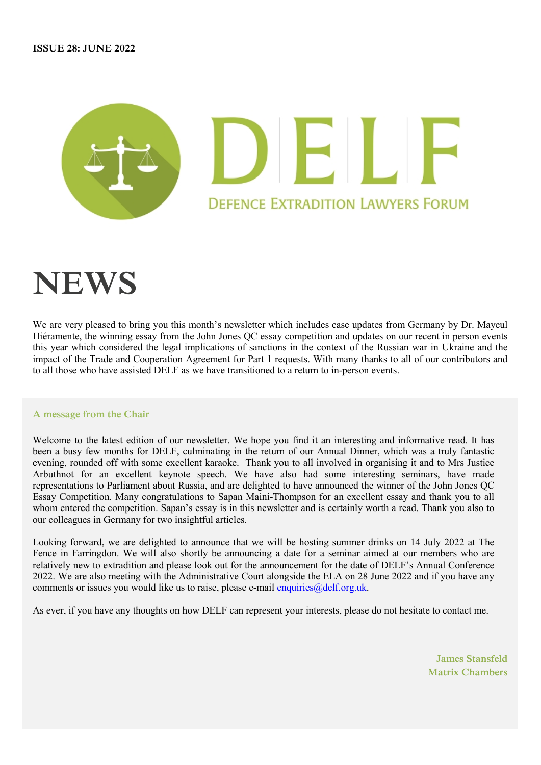

# **NEWS**

We are very pleased to bring you this month's newsletter which includes case updates from Germany by Dr. Mayeul Hiéramente, the winning essay from the John Jones QC essay competition and updates on our recent in person events this year which considered the legal implications of sanctions in the context of the Russian war in Ukraine and the impact of the Trade and Cooperation Agreement for Part 1 requests. With many thanks to all of our contributors and to all those who have assisted DELF as we have transitioned to a return to in-person events.

### **A message from the Chair**

Welcome to the latest edition of our newsletter. We hope you find it an interesting and informative read. It has been a busy few months for DELF, culminating in the return of our Annual Dinner, which was a truly fantastic evening, rounded off with some excellent karaoke. Thank you to all involved in organising it and to Mrs Justice Arbuthnot for an excellent keynote speech. We have also had some interesting seminars, have made representations to Parliament about Russia, and are delighted to have announced the winner of the John Jones QC Essay Competition. Many congratulations to Sapan Maini-Thompson for an excellent essay and thank you to all whom entered the competition. Sapan's essay is in this newsletter and is certainly worth a read. Thank you also to our colleagues in Germany for two insightful articles.

Looking forward, we are delighted to announce that we will be hosting summer drinks on 14 July 2022 at The Fence in Farringdon. We will also shortly be announcing a date for a seminar aimed at our members who are relatively new to extradition and please look out for the announcement for the date of DELF's Annual Conference 2022. We are also meeting with the Administrative Court alongside the ELA on 28 June 2022 and if you have any comments or issues you would like us to raise, please e-mail enquiries  $@delf.org.uk$ .

As ever, if you have any thoughts on how DELF can represent your interests, please do not hesitate to contact me.

**James Stansfeld Matrix Chambers**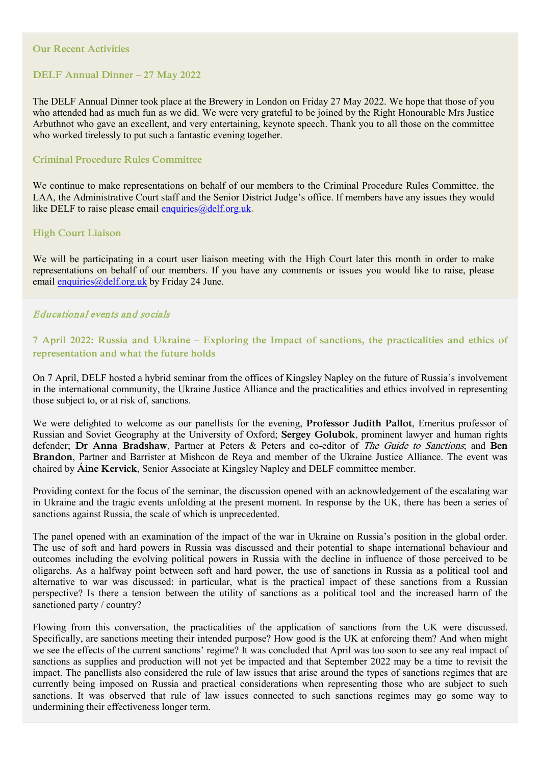#### **Our Recent Activities**

## **DELF Annual Dinner – 27 May 2022**

The DELF Annual Dinner took place at the Brewery in London on Friday 27 May 2022. We hope that those of you who attended had as much fun as we did. We were very grateful to be joined by the Right Honourable Mrs Justice Arbuthnot who gave an excellent, and very entertaining, keynote speech. Thank you to all those on the committee who worked tirelessly to put such a fantastic evening together.

#### **Criminal Procedure Rules Committee**

We continue to make representations on behalf of our members to the Criminal Procedure Rules Committee, the LAA, the Administrative Court staff and the Senior District Judge's office. If members have any issues they would like DELF to raise please email [enquiries@delf.org.uk](mailto:enquiries@delf.org.uk).

#### **High Court Liaison**

We will be participating in a court user liaison meeting with the High Court later this month in order to make representations on behalf of our members. If you have any comments or issues you would like to raise, please email [enquiries@delf.org.uk](mailto:enquiries@delf.org.uk) by Friday 24 June.

### Educational events and socials

# **7 April 2022: Russia and Ukraine – Exploring the Impact of sanctions, the practicalities and ethics of representation and what the future holds**

On 7 April, DELF hosted a hybrid seminar from the offices of Kingsley Napley on the future of Russia's involvement in the international community, the Ukraine Justice Alliance and the practicalities and ethics involved in representing those subject to, or at risk of, sanctions.

We were delighted to welcome as our panellists for the evening, **Professor Judith Pallot**, Emeritus professor of Russian and Soviet Geography at the University of Oxford; **Sergey Golubok**, prominent lawyer and human rights defender; **Dr Anna Bradshaw**, Partner at Peters & Peters and co-editor of The Guide to Sanctions; and **Ben Brandon**, Partner and Barrister at Mishcon de Reya and member of the Ukraine Justice Alliance. The event was chaired by **Áine Kervick**, Senior Associate at Kingsley Napley and DELF committee member.

Providing context for the focus of the seminar, the discussion opened with an acknowledgement of the escalating war in Ukraine and the tragic events unfolding at the present moment. In response by the UK, there has been a series of sanctions against Russia, the scale of which is unprecedented.

The panel opened with an examination of the impact of the war in Ukraine on Russia's position in the global order. The use of soft and hard powers in Russia was discussed and their potential to shape international behaviour and outcomes including the evolving political powers in Russia with the decline in influence of those perceived to be oligarchs. As a halfway point between soft and hard power, the use of sanctions in Russia as a political tool and alternative to war was discussed: in particular, what is the practical impact of these sanctions from a Russian perspective? Is there a tension between the utility of sanctions as a political tool and the increased harm of the sanctioned party / country?

Flowing from this conversation, the practicalities of the application of sanctions from the UK were discussed. Specifically, are sanctions meeting their intended purpose? How good is the UK at enforcing them? And when might we see the effects of the current sanctions' regime? It was concluded that April was too soon to see any real impact of sanctions as supplies and production will not yet be impacted and that September 2022 may be a time to revisit the impact. The panellists also considered the rule of law issues that arise around the types of sanctions regimes that are currently being imposed on Russia and practical considerations when representing those who are subject to such sanctions. It was observed that rule of law issues connected to such sanctions regimes may go some way to undermining their effectiveness longer term.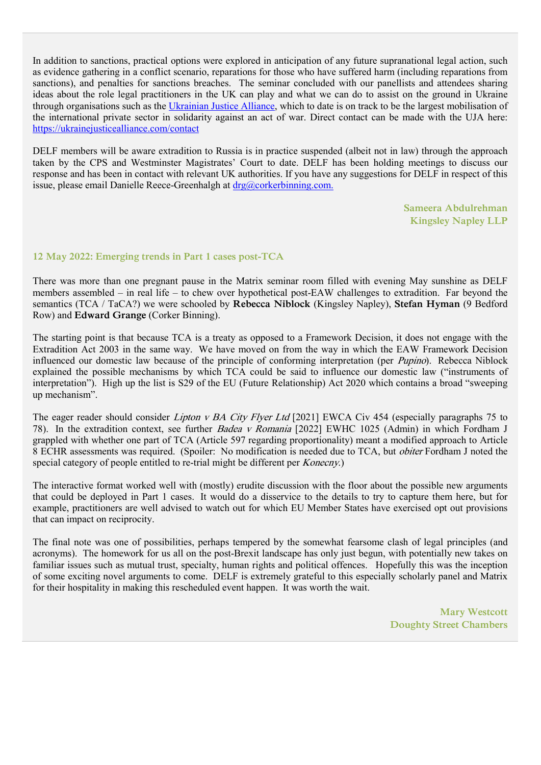In addition to sanctions, practical options were explored in anticipation of any future supranational legal action, such as evidence gathering in a conflict scenario, reparations for those who have suffered harm (including reparations from sanctions), and penalties for sanctions breaches. The seminar concluded with our panellists and attendees sharing ideas about the role legal practitioners in the UK can play and what we can do to assist on the ground in Ukraine through organisations such as the [Ukrainian Justice](https://ukrainejusticealliance.com/) Alliance, which to date is on track to be the largest mobilisation of the international private sector in solidarity against an act of war. Direct contact can be made with the UJA here: <https://ukrainejusticealliance.com/contact>

DELF members will be aware extradition to Russia is in practice suspended (albeit not in law) through the approach taken by the CPS and Westminster Magistrates' Court to date. DELF has been holding meetings to discuss our response and has been in contact with relevant UK authorities. If you have any suggestions for DELF in respect of this issue, please email Danielle Reece-Greenhalgh at [drg@corkerbinning.com.](mailto:drg@corkerbinning.com.)

> **Sameera Abdulrehman Kingsley Napley LLP**

#### **12 May 2022: Emerging trends in Part 1 cases post-TCA**

There was more than one pregnant pause in the Matrix seminar room filled with evening May sunshine as DELF members assembled – in real life – to chew over hypothetical post-EAW challenges to extradition. Far beyond the semantics (TCA / TaCA?) we were schooled by **Rebecca Niblock** (Kingsley Napley), **Stefan Hyman** (9 Bedford Row) and **Edward Grange** (Corker Binning).

The starting point is that because TCA is a treaty as opposed to a Framework Decision, it does not engage with the Extradition Act 2003 in the same way. We have moved on from the way in which the EAW Framework Decision influenced our domestic law because of the principle of conforming interpretation (per Pupino). Rebecca Niblock explained the possible mechanisms by which TCA could be said to influence our domestic law ("instruments of interpretation"). High up the list is S29 of the EU (Future Relationship) Act 2020 which contains a broad "sweeping up mechanism".

The eager reader should consider *Lipton v BA City Flyer Ltd* [2021] EWCA Civ 454 (especially paragraphs 75 to 78). In the extradition context, see further Badea v Romania [2022] EWHC 1025 (Admin) in which Fordham J grappled with whether one part of TCA (Article 597 regarding proportionality) meant a modified approach to Article 8 ECHR assessments was required. (Spoiler: No modification is needed due to TCA, but *obiter* Fordham J noted the special category of people entitled to re-trial might be different per *Konecny*.)

The interactive format worked well with (mostly) erudite discussion with the floor about the possible new arguments that could be deployed in Part 1 cases. It would do a disservice to the details to try to capture them here, but for example, practitioners are well advised to watch out for which EU Member States have exercised opt out provisions that can impact on reciprocity.

The final note was one of possibilities, perhaps tempered by the somewhat fearsome clash of legal principles (and acronyms). The homework for us all on the post-Brexit landscape has only just begun, with potentially new takes on familiar issues such as mutual trust, specialty, human rights and political offences. Hopefully this was the inception of some exciting novel arguments to come. DELF is extremely grateful to this especially scholarly panel and Matrix for their hospitality in making this rescheduled event happen. It was worth the wait.

> **Mary Westcott Doughty Street Chambers**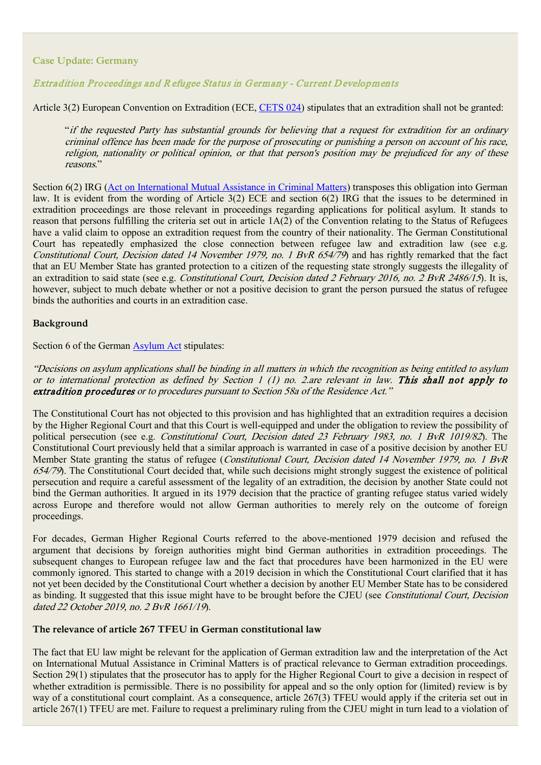## **Case Update: Germany**

## Extradition Proceedings and R efugee Status in G ermany - Current D evelopments

Article 3(2) European Convention on Extradition (ECE, [CETS 024\)](https://rm.coe.int/1680064587) stipulates that an extradition shall not be granted:

"if the requested Party has substantial grounds for believing that a request for extradition for an ordinary criminal offence has been made for the purpose of prosecuting or punishing a person on account of his race, religion, nationality or political opinion, or that that person's position may be prejudiced for any of these reasons."

Section 6(2) IRG [\(Act on International Mutual Assistance in Criminal Matters\)](https://www.gesetze-im-internet.de/englisch_irg/index.html) transposes this obligation into German law. It is evident from the wording of Article 3(2) ECE and section 6(2) IRG that the issues to be determined in extradition proceedings are those relevant in proceedings regarding applications for political asylum. It stands to reason that persons fulfilling the criteria set out in article 1A(2) of the Convention relating to the Status of Refugees have a valid claim to oppose an extradition request from the country of their nationality. The German Constitutional Court has repeatedly emphasized the close connection between refugee law and extradition law (see e.g. Constitutional Court, Decision dated 14 November 1979, no. 1 BvR 654/79) and has rightly remarked that the fact that an EU Member State has granted protection to a citizen of the requesting state strongly suggests the illegality of an extradition to said state (see e.g. Constitutional Court, Decision dated 2 February 2016, no. 2 BvR 2486/15). It is, however, subject to much debate whether or not a positive decision to grant the person pursued the status of refugee binds the authorities and courts in an extradition case.

#### **Background**

Section 6 of the German [Asylum Act](https://www.gesetze-im-internet.de/englisch_asylvfg/index.html) stipulates:

"Decisions on asylum applications shall be binding in all matters in which the recognition as being entitled to asylum or to international protection as defined by Section 1 (1) no. 2 are relevant in law. This shall not apply to extradition procedures or to procedures pursuant to Section 58a of the Residence Act."

The Constitutional Court has not objected to this provision and has highlighted that an extradition requires a decision by the Higher Regional Court and that this Court is well-equipped and under the obligation to review the possibility of political persecution (see e.g. Constitutional Court, Decision dated 23 February 1983, no. 1 BvR 1019/82). The Constitutional Court previously held that a similar approach is warranted in case of a positive decision by another EU Member State granting the status of refugee (Constitutional Court, Decision dated 14 November 1979, no. 1 BvR 654/79). The Constitutional Court decided that, while such decisions might strongly suggest the existence of political persecution and require a careful assessment of the legality of an extradition, the decision by another State could not bind the German authorities. It argued in its 1979 decision that the practice of granting refugee status varied widely across Europe and therefore would not allow German authorities to merely rely on the outcome of foreign proceedings.

For decades, German Higher Regional Courts referred to the above-mentioned 1979 decision and refused the argument that decisions by foreign authorities might bind German authorities in extradition proceedings. The subsequent changes to European refugee law and the fact that procedures have been harmonized in the EU were commonly ignored. This started to change with a 2019 decision in which the Constitutional Court clarified that it has not yet been decided by the Constitutional Court whether a decision by another EU Member State has to be considered as binding. It suggested that this issue might have to be brought before the CJEU (see Constitutional Court, Decision dated 22 October 2019, no. 2 BvR 1661/19).

### **The relevance of article 267 TFEU in German constitutional law**

The fact that EU law might be relevant for the application of German extradition law and the interpretation of the Act on International Mutual Assistance in Criminal Matters is of practical relevance to German extradition proceedings. Section 29(1) stipulates that the prosecutor has to apply for the Higher Regional Court to give a decision in respect of whether extradition is permissible. There is no possibility for appeal and so the only option for (limited) review is by way of a constitutional court complaint. As a consequence, article 267(3) TFEU would apply if the criteria set out in article 267(1) TFEU are met. Failure to request a preliminary ruling from the CJEU might in turn lead to a violation of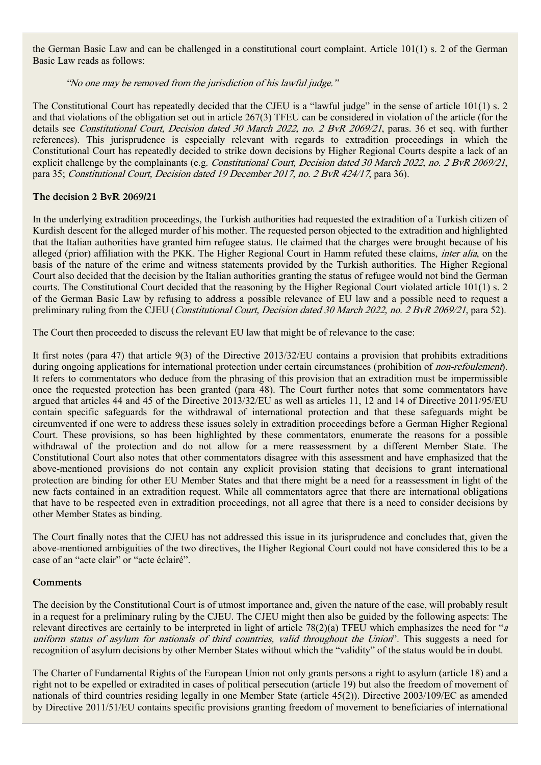the German Basic Law and can be challenged in a constitutional court complaint. Article 101(1) s. 2 of the German Basic Law reads as follows:

## "No one may be removed from the jurisdiction of his lawful judge."

The Constitutional Court has repeatedly decided that the CJEU is a "lawful judge" in the sense of article 101(1) s. 2 and that violations of the obligation set out in article 267(3) TFEU can be considered in violation of the article (for the details see Constitutional Court, Decision dated 30 March 2022, no. 2 BvR 2069/21, paras. 36 et seq. with further references). This jurisprudence is especially relevant with regards to extradition proceedings in which the Constitutional Court has repeatedly decided to strike down decisions by Higher Regional Courts despite a lack of an explicit challenge by the complainants (e.g. Constitutional Court, Decision dated 30 March 2022, no. 2 BvR 2069/21, para 35; Constitutional Court, Decision dated 19 December 2017, no. 2 BvR 424/17, para 36).

## **The decision 2 BvR 2069/21**

In the underlying extradition proceedings, the Turkish authorities had requested the extradition of a Turkish citizen of Kurdish descent for the alleged murder of his mother. The requested person objected to the extradition and highlighted that the Italian authorities have granted him refugee status. He claimed that the charges were brought because of his alleged (prior) affiliation with the PKK. The Higher Regional Court in Hamm refuted these claims, inter alia, on the basis of the nature of the crime and witness statements provided by the Turkish authorities. The Higher Regional Court also decided that the decision by the Italian authorities granting the status of refugee would not bind the German courts. The Constitutional Court decided that the reasoning by the Higher Regional Court violated article 101(1) s. 2 of the German Basic Law by refusing to address a possible relevance of EU law and a possible need to request a preliminary ruling from the CJEU (*Constitutional Court, Decision dated 30 March 2022, no. 2 BvR 2069/21*, para 52).

The Court then proceeded to discuss the relevant EU law that might be of relevance to the case:

It first notes (para 47) that article 9(3) of the Directive 2013/32/EU contains a provision that prohibits extraditions during ongoing applications for international protection under certain circumstances (prohibition of *non-refoulement*). It refers to commentators who deduce from the phrasing of this provision that an extradition must be impermissible once the requested protection has been granted (para 48). The Court further notes that some commentators have argued that articles 44 and 45 of the Directive 2013/32/EU as well as articles 11, 12 and 14 of Directive 2011/95/EU contain specific safeguards for the withdrawal of international protection and that these safeguards might be circumvented if one were to address these issues solely in extradition proceedings before a German Higher Regional Court. These provisions, so has been highlighted by these commentators, enumerate the reasons for a possible withdrawal of the protection and do not allow for a mere reassessment by a different Member State. The Constitutional Court also notes that other commentators disagree with this assessment and have emphasized that the above-mentioned provisions do not contain any explicit provision stating that decisions to grant international protection are binding for other EU Member States and that there might be a need for a reassessment in light of the new facts contained in an extradition request. While all commentators agree that there are international obligations that have to be respected even in extradition proceedings, not all agree that there is a need to consider decisions by other Member States as binding.

The Court finally notes that the CJEU has not addressed this issue in its jurisprudence and concludes that, given the above-mentioned ambiguities of the two directives, the Higher Regional Court could not have considered this to be a case of an "acte clair" or "acte éclairé".

## **Comments**

The decision by the Constitutional Court is of utmost importance and, given the nature of the case, will probably result in a request for a preliminary ruling by the CJEU. The CJEU might then also be guided by the following aspects: The relevant directives are certainly to be interpreted in light of article 78(2)(a) TFEU which emphasizes the need for "<sup>a</sup> uniform status of asylum for nationals of third countries, valid throughout the Union". This suggests a need for recognition of asylum decisions by other Member States without which the "validity" of the status would be in doubt.

The Charter of Fundamental Rights of the European Union not only grants persons a right to asylum (article 18) and a right not to be expelled or extradited in cases of political persecution (article 19) but also the freedom of movement of nationals of third countries residing legally in one Member State (article 45(2)). Directive 2003/109/EC as amended by Directive 2011/51/EU contains specific provisions granting freedom of movement to beneficiaries of international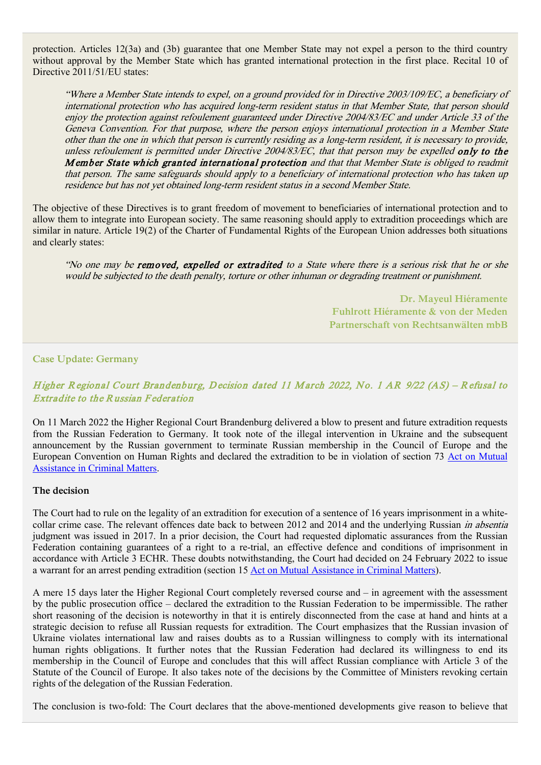protection. Articles 12(3a) and (3b) guarantee that one Member State may not expel a person to the third country without approval by the Member State which has granted international protection in the first place. Recital 10 of Directive 2011/51/EU states:

"Where a Member State intends to expel, on a ground provided for in Directive 2003/109/EC, a beneficiary of international protection who has acquired long-term resident status in that Member State, that person should enjoy the protection against refoulement guaranteed under Directive 2004/83/EC and under Article 33 of the Geneva Convention. For that purpose, where the person enjoys international protection in a Member State other than the one in which that person is currently residing as a long-term resident, it is necessary to provide, unless refoulement is permitted under Directive 2004/83/EC, that that person may be expelled only to the Member State which granted international protection and that that Member State is obliged to readmit that person. The same safeguards should apply to a beneficiary of international protection who has taken up residence but has not yet obtained long-term resident status in a second Member State.

The objective of these Directives is to grant freedom of movement to beneficiaries of international protection and to allow them to integrate into European society. The same reasoning should apply to extradition proceedings which are similar in nature. Article 19(2) of the Charter of Fundamental Rights of the European Union addresses both situations and clearly states:

"No one may be removed, expelled or extradited to a State where there is a serious risk that he or she would be subjected to the death penalty, torture or other inhuman or degrading treatment or punishment.

> **Dr. Mayeul Hiéramente Fuhlrott Hiéramente & von der Meden Partnerschaft von Rechtsanwälten mbB**

#### **Case Update: Germany**

# Higher Regional Court Brandenburg, Decision dated 11 March 2022, No. 1 AR 9/22 (AS) – Refusal to **Extradite to the Russian Federation**

On 11 March 2022 the Higher Regional Court Brandenburg delivered a blow to present and future extradition requests from the Russian Federation to Germany. It took note of the illegal intervention in Ukraine and the subsequent announcement by the Russian government to terminate Russian membership in the Council of Europe and the European Convention on Human Rights and declared the extradition to be in violation of section 73 [Act on Mutual](https://www.gesetze-im-internet.de/englisch_irg/englisch_irg.html#p0025)  [Assistance in Criminal Matters.](https://www.gesetze-im-internet.de/englisch_irg/englisch_irg.html#p0025)

#### **The decision**

The Court had to rule on the legality of an extradition for execution of a sentence of 16 years imprisonment in a whitecollar crime case. The relevant offences date back to between 2012 and 2014 and the underlying Russian *in absentia* judgment was issued in 2017. In a prior decision, the Court had requested diplomatic assurances from the Russian Federation containing guarantees of a right to a re-trial, an effective defence and conditions of imprisonment in accordance with Article 3 ECHR. These doubts notwithstanding, the Court had decided on 24 February 2022 to issue a warrant for an arrest pending extradition (section 15 [Act on Mutual Assistance in Criminal Matters\)](https://www.gesetze-im-internet.de/englisch_irg/englisch_irg.html#p0025).

A mere 15 days later the Higher Regional Court completely reversed course and – in agreement with the assessment by the public prosecution office – declared the extradition to the Russian Federation to be impermissible. The rather short reasoning of the decision is noteworthy in that it is entirely disconnected from the case at hand and hints at a strategic decision to refuse all Russian requests for extradition. The Court emphasizes that the Russian invasion of Ukraine violates international law and raises doubts as to a Russian willingness to comply with its international human rights obligations. It further notes that the Russian Federation had declared its willingness to end its membership in the Council of Europe and concludes that this will affect Russian compliance with Article 3 of the Statute of the Council of Europe. It also takes note of the decisions by the Committee of Ministers revoking certain rights of the delegation of the Russian Federation.

The conclusion is two-fold: The Court declares that the above-mentioned developments give reason to believe that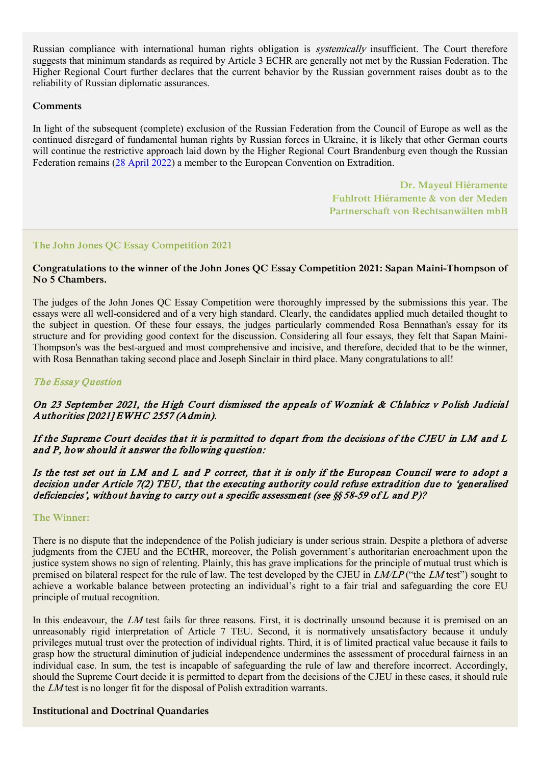Russian compliance with international human rights obligation is systemically insufficient. The Court therefore suggests that minimum standards as required by Article 3 ECHR are generally not met by the Russian Federation. The Higher Regional Court further declares that the current behavior by the Russian government raises doubt as to the reliability of Russian diplomatic assurances.

### **Comments**

In light of the subsequent (complete) exclusion of the Russian Federation from the Council of Europe as well as the continued disregard of fundamental human rights by Russian forces in Ukraine, it is likely that other German courts will continue the restrictive approach laid down by the Higher Regional Court Brandenburg even though the Russian Federation remains [\(28 April](https://www.coe.int/en/web/conventions/full-list?module=signatures-by-treaty&treatynum=024) 2022) a member to the European Convention on Extradition.

> **Dr. Mayeul Hiéramente Fuhlrott Hiéramente & von der Meden Partnerschaft von Rechtsanwälten mbB**

### **The John Jones QC Essay Competition 2021**

## **Congratulations to the winner of the John Jones QC Essay Competition 2021: Sapan Maini-Thompson of No 5 Chambers.**

The judges of the John Jones QC Essay Competition were thoroughly impressed by the submissions this year. The essays were all well-considered and of a very high standard. Clearly, the candidates applied much detailed thought to the subject in question. Of these four essays, the judges particularly commended Rosa Bennathan's essay for its structure and for providing good context for the discussion. Considering all four essays, they felt that Sapan Maini-Thompson's was the best-argued and most comprehensive and incisive, and therefore, decided that to be the winner, with Rosa Bennathan taking second place and Joseph Sinclair in third place. Many congratulations to all!

## The Essay Question

# On 23 September 2021, the H igh Court dismissed the appeals of Wozniak & Chlabicz v Polish Judicial Authorities [2021] EWHC 2557 (Admin).

# If the Supreme Court decides that it is permitted to depart from the decisions of the CJEU in LM and L and P, how should it answer the following question:

## Is the test set out in LM and L and P correct, that it is only if the European Council were to adopt a decision under Article 7(2) TEU, that the executing authority could refuse extradition due to 'generalised deficiencies', without having to carry out a specific assessment (see §§ 58-59 of L and P)?

#### **The Winner:**

There is no dispute that the independence of the Polish judiciary is under serious strain. Despite a plethora of adverse judgments from the CJEU and the ECtHR, moreover, the Polish government's authoritarian encroachment upon the justice system shows no sign of relenting. Plainly, this has grave implications for the principle of mutual trust which is premised on bilateral respect for the rule of law. The test developed by the CJEU in  $LMLP$  ("the LM test") sought to achieve a workable balance between protecting an individual's right to a fair trial and safeguarding the core EU principle of mutual recognition.

In this endeavour, the LM test fails for three reasons. First, it is doctrinally unsound because it is premised on an unreasonably rigid interpretation of Article 7 TEU. Second, it is normatively unsatisfactory because it unduly privileges mutual trust over the protection of individual rights. Third, it is of limited practical value because it fails to grasp how the structural diminution of judicial independence undermines the assessment of procedural fairness in an individual case. In sum, the test is incapable of safeguarding the rule of law and therefore incorrect. Accordingly, should the Supreme Court decide it is permitted to depart from the decisions of the CJEU in these cases, it should rule the LM test is no longer fit for the disposal of Polish extradition warrants.

### **Institutional and Doctrinal Quandaries**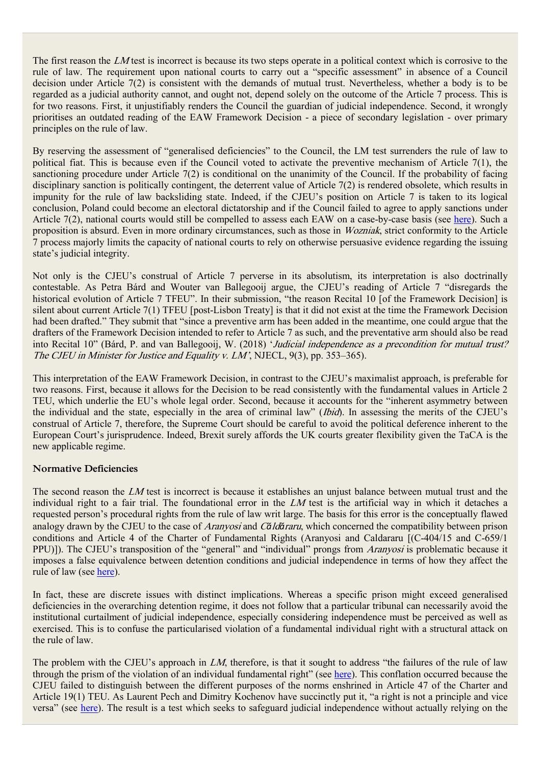The first reason the LM test is incorrect is because its two steps operate in a political context which is corrosive to the rule of law. The requirement upon national courts to carry out a "specific assessment" in absence of a Council decision under Article 7(2) is consistent with the demands of mutual trust. Nevertheless, whether a body is to be regarded as a judicial authority cannot, and ought not, depend solely on the outcome of the Article 7 process. This is for two reasons. First, it unjustifiably renders the Council the guardian of judicial independence. Second, it wrongly prioritises an outdated reading of the EAW Framework Decision - a piece of secondary legislation - over primary principles on the rule of law.

By reserving the assessment of "generalised deficiencies" to the Council, the LM test surrenders the rule of law to political fiat. This is because even if the Council voted to activate the preventive mechanism of Article 7(1), the sanctioning procedure under Article 7(2) is conditional on the unanimity of the Council. If the probability of facing disciplinary sanction is politically contingent, the deterrent value of Article 7(2) is rendered obsolete, which results in impunity for the rule of law backsliding state. Indeed, if the CJEU's position on Article 7 is taken to its logical conclusion, Poland could become an electoral dictatorship and if the Council failed to agree to apply sanctions under Article 7(2), national courts would still be compelled to assess each EAW on a case-by-case basis (see [here\)](https://sieps.se/globalassets/publikationer/2021/sieps-2021_3-eng-web.pdf). Such a proposition is absurd. Even in more ordinary circumstances, such as those in Wozniak, strict conformity to the Article 7 process majorly limits the capacity of national courts to rely on otherwise persuasive evidence regarding the issuing state's judicial integrity.

Not only is the CJEU's construal of Article 7 perverse in its absolutism, its interpretation is also doctrinally contestable. As Petra Bárd and Wouter van Ballegooij argue, the CJEU's reading of Article 7 "disregards the historical evolution of Article 7 TFEU". In their submission, "the reason Recital 10 [of the Framework Decision] is silent about current Article 7(1) TFEU [post-Lisbon Treaty] is that it did not exist at the time the Framework Decision had been drafted." They submit that "since a preventive arm has been added in the meantime, one could argue that the drafters of the Framework Decision intended to refer to Article 7 as such, and the preventative arm should also be read into Recital 10" (Bárd, P. and van Ballegooij, W. (2018) 'Judicial independence as a precondition for mutual trust? The CJEU in Minister for Justice and Equality v. LM', NJECL, 9(3), pp. 353–365).

This interpretation of the EAW Framework Decision, in contrast to the CJEU's maximalist approach, is preferable for two reasons. First, because it allows for the Decision to be read consistently with the fundamental values in Article 2 TEU, which underlie the EU's whole legal order. Second, because it accounts for the "inherent asymmetry between the individual and the state, especially in the area of criminal law" (Ibid). In assessing the merits of the CJEU's construal of Article 7, therefore, the Supreme Court should be careful to avoid the political deference inherent to the European Court's jurisprudence. Indeed, Brexit surely affords the UK courts greater flexibility given the TaCA is the new applicable regime.

### **Normative Deficiencies**

The second reason the LM test is incorrect is because it establishes an unjust balance between mutual trust and the individual right to a fair trial. The foundational error in the LM test is the artificial way in which it detaches a requested person's procedural rights from the rule of law writ large. The basis for this error is the conceptually flawed analogy drawn by the CJEU to the case of Aranyosi and C*ă*ld*ă*raru, which concerned the compatibility between prison conditions and Article 4 of the Charter of Fundamental Rights (Aranyosi and Caldararu [(C-404/15 and C-659/1 PPU)]). The CJEU's transposition of the "general" and "individual" prongs from Aranyosi is problematic because it imposes a false equivalence between detention conditions and judicial independence in terms of how they affect the rule of law (see [here\)](https://sieps.se/globalassets/publikationer/2021/sieps-2021_3-eng-web.pdf).

In fact, these are discrete issues with distinct implications. Whereas a specific prison might exceed generalised deficiencies in the overarching detention regime, it does not follow that a particular tribunal can necessarily avoid the institutional curtailment of judicial independence, especially considering independence must be perceived as well as exercised. This is to confuse the particularised violation of a fundamental individual right with a structural attack on the rule of law.

The problem with the CJEU's approach in LM, therefore, is that it sought to address "the failures of the rule of law through the prism of the violation of an individual fundamental right" (see [here\)](https://sieps.se/globalassets/publikationer/2021/sieps-2021_3-eng-web.pdf). This conflation occurred because the CJEU failed to distinguish between the different purposes of the norms enshrined in Article 47 of the Charter and Article 19(1) TEU. As Laurent Pech and Dimitry Kochenov have succinctly put it, "a right is not a principle and vice versa" (see [here\)](https://sieps.se/globalassets/publikationer/2021/sieps-2021_3-eng-web.pdf). The result is a test which seeks to safeguard judicial independence without actually relying on the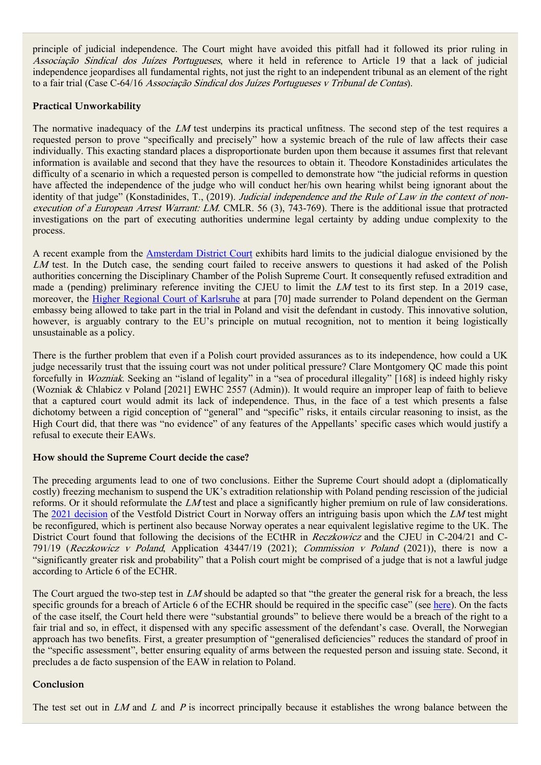principle of judicial independence. The Court might have avoided this pitfall had it followed its prior ruling in Associação Sindical dos Juízes Portugueses, where it held in reference to Article 19 that a lack of judicial independence jeopardises all fundamental rights, not just the right to an independent tribunal as an element of the right to a fair trial (Case C-64/16 Associação Sindical dos Juízes Portugueses v Tribunal de Contas).

## **Practical Unworkability**

The normative inadequacy of the LM test underpins its practical unfitness. The second step of the test requires a requested person to prove "specifically and precisely" how a systemic breach of the rule of law affects their case individually. This exacting standard places a disproportionate burden upon them because it assumes first that relevant information is available and second that they have the resources to obtain it. Theodore Konstadinides articulates the difficulty of a scenario in which a requested person is compelled to demonstrate how "the judicial reforms in question have affected the independence of the judge who will conduct her/his own hearing whilst being ignorant about the identity of that judge" (Konstadinides, T., (2019). Judicial independence and the Rule of Law in the context of nonexecution of a European Arrest Warrant: LM. CMLR. 56 (3), 743-769). There is the additional issue that protracted investigations on the part of executing authorities undermine legal certainty by adding undue complexity to the process.

A recent example from the [Amsterdam District Court](https://uitspraken.rechtspraak.nl/inziendocument?id=ECLI:NL:RBAMS:2021:420&showbutton=true) exhibits hard limits to the judicial dialogue envisioned by the LM test. In the Dutch case, the sending court failed to receive answers to questions it had asked of the Polish authorities concerning the Disciplinary Chamber of the Polish Supreme Court. It consequently refused extradition and made a (pending) preliminary reference inviting the CJEU to limit the  $LM$  test to its first step. In a 2019 case, moreover, the [Higher Regional Court of Karlsruhe](http://lrbw.juris.de/cgi-bin/laender_rechtsprechung/document.py?Gericht=bw&nr=26436;%20https://verfassungsblog.de/luxembourgs-unworkable-test-to-protect-the-rule-of-law-in-the-eu/) at para [70] made surrender to Poland dependent on the German embassy being allowed to take part in the trial in Poland and visit the defendant in custody. This innovative solution, however, is arguably contrary to the EU's principle on mutual recognition, not to mention it being logistically unsustainable as a policy.

There is the further problem that even if a Polish court provided assurances as to its independence, how could a UK judge necessarily trust that the issuing court was not under political pressure? Clare Montgomery QC made this point forcefully in Wozniak. Seeking an "island of legality" in a "sea of procedural illegality" [168] is indeed highly risky (Wozniak & Chlabicz v Poland [2021] EWHC 2557 (Admin)). It would require an improper leap of faith to believe that a captured court would admit its lack of independence. Thus, in the face of a test which presents a false dichotomy between a rigid conception of "general" and "specific" risks, it entails circular reasoning to insist, as the High Court did, that there was "no evidence" of any features of the Appellants' specific cases which would justify a refusal to execute their EAWs.

### **How should the Supreme Court decide the case?**

The preceding arguments lead to one of two conclusions. Either the Supreme Court should adopt a (diplomatically costly) freezing mechanism to suspend the UK's extradition relationship with Poland pending rescission of the judicial reforms. Or it should reformulate the LM test and place a significantly higher premium on rule of law considerations. The [2021 decision](https://lovdata.no/dokument/TRSTR/avgjorelse/tves-2021-144871?q=TVES-2021-144871) of the Vestfold District Court in Norway offers an intriguing basis upon which the LM test might be reconfigured, which is pertinent also because Norway operates a near equivalent legislative regime to the UK. The District Court found that following the decisions of the ECtHR in Reczkowicz and the CJEU in C-204/21 and C-791/19 (Reczkowicz v Poland, Application 43447/19 (2021); Commission v Poland (2021)), there is now a "significantly greater risk and probability" that a Polish court might be comprised of a judge that is not a lawful judge according to Article 6 of the ECHR.

The Court argued the two-step test in LM should be adapted so that "the greater the general risk for a breach, the less specific grounds for a breach of Article 6 of the ECHR should be required in the specific case" (see [here\)](https://verfassungsblog.de/no-surrender-to-poland/). On the facts of the case itself, the Court held there were "substantial grounds" to believe there would be a breach of the right to a fair trial and so, in effect, it dispensed with any specific assessment of the defendant's case. Overall, the Norwegian approach has two benefits. First, a greater presumption of "generalised deficiencies" reduces the standard of proof in the "specific assessment", better ensuring equality of arms between the requested person and issuing state. Second, it precludes a de facto suspension of the EAW in relation to Poland.

# **Conclusion**

The test set out in  $LM$  and  $L$  and  $P$  is incorrect principally because it establishes the wrong balance between the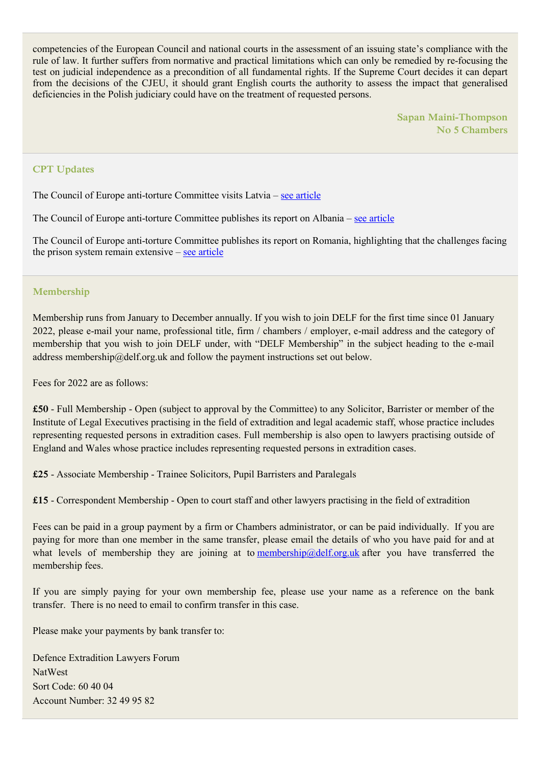competencies of the European Council and national courts in the assessment of an issuing state's compliance with the rule of law. It further suffers from normative and practical limitations which can only be remedied by re-focusing the test on judicial independence as a precondition of all fundamental rights. If the Supreme Court decides it can depart from the decisions of the CJEU, it should grant English courts the authority to assess the impact that generalised deficiencies in the Polish judiciary could have on the treatment of requested persons.

> **Sapan Maini-Thompson No 5 Chambers**

### **CPT Updates**

The Council of Europe anti-torture Committee visits Latvia – [see article](https://www.coe.int/en/web/cpt/-/council-of-europe-anti-torture-committee-visits-latv-1)

The Council of Europe anti-torture Committee publishes its report on Albania – [see article](https://www.coe.int/en/web/cpt/-/council-of-europe-anti-torture-committee-publishes-its-report-on-albania)

The Council of Europe anti-torture Committee publishes its report on Romania, highlighting that the challenges facing the prison system remain extensive – [see article](https://www.coe.int/en/web/cpt/-/council-of-europe-anti-torture-committee-publishes-report-on-romania-highlighting-that-the-challenges-facing-the-prison-system-remain-extensi-1)

### **Membership**

Membership runs from January to December annually. If you wish to join DELF for the first time since 01 January 2022, please e-mail your name, professional title, firm / chambers / employer, e-mail address and the category of membership that you wish to join DELF under, with "DELF Membership" in the subject heading to the e-mail address membership@delf.org.uk and follow the payment instructions set out below.

Fees for 2022 are as follows:

**£50** - Full Membership - Open (subject to approval by the Committee) to any Solicitor, Barrister or member of the Institute of Legal Executives practising in the field of extradition and legal academic staff, whose practice includes representing requested persons in extradition cases. Full membership is also open to lawyers practising outside of England and Wales whose practice includes representing requested persons in extradition cases.

**£25** - Associate Membership - Trainee Solicitors, Pupil Barristers and Paralegals

**£15** - Correspondent Membership - Open to court staff and other lawyers practising in the field of extradition

Fees can be paid in a group payment by a firm or Chambers administrator, or can be paid individually. If you are paying for more than one member in the same transfer, please email the details of who you have paid for and at what levels of membership they are joining at to [membership@delf.org.uk](https://email.kingsleynapley.co.uk/OWA/redir.aspx?C=uSeuL01HOU4oFI2-pkyWF6UaUFv7J7XmJI42at0zDaAOIUZ_lhjUCA..&URL=mailto%3amembership%40delf.org.uk) after you have transferred the membership fees.

If you are simply paying for your own membership fee, please use your name as a reference on the bank transfer. There is no need to email to confirm transfer in this case.

Please make your payments by bank transfer to:

Defence Extradition Lawyers Forum NatWest Sort Code: 60 40 04 Account Number: 32 49 95 82